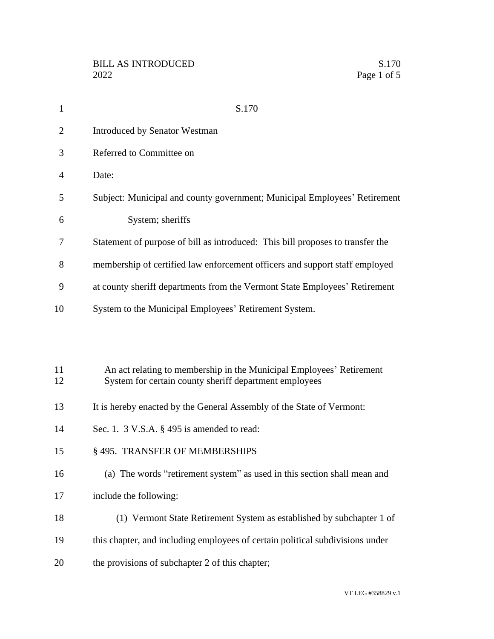| $\mathbf{1}$   | S.170                                                                                                                          |
|----------------|--------------------------------------------------------------------------------------------------------------------------------|
| $\overline{2}$ | <b>Introduced by Senator Westman</b>                                                                                           |
| 3              | Referred to Committee on                                                                                                       |
| 4              | Date:                                                                                                                          |
| 5              | Subject: Municipal and county government; Municipal Employees' Retirement                                                      |
| 6              | System; sheriffs                                                                                                               |
| 7              | Statement of purpose of bill as introduced: This bill proposes to transfer the                                                 |
| 8              | membership of certified law enforcement officers and support staff employed                                                    |
| 9              | at county sheriff departments from the Vermont State Employees' Retirement                                                     |
| 10             | System to the Municipal Employees' Retirement System.                                                                          |
|                |                                                                                                                                |
|                |                                                                                                                                |
| 11<br>12       | An act relating to membership in the Municipal Employees' Retirement<br>System for certain county sheriff department employees |
| 13             | It is hereby enacted by the General Assembly of the State of Vermont:                                                          |
| 14             | Sec. 1. $3$ V.S.A. $\S$ 495 is amended to read:                                                                                |
| 15             | § 495. TRANSFER OF MEMBERSHIPS                                                                                                 |
| 16             | (a) The words "retirement system" as used in this section shall mean and                                                       |
| 17             | include the following:                                                                                                         |
| 18             | (1) Vermont State Retirement System as established by subchapter 1 of                                                          |
| 19             | this chapter, and including employees of certain political subdivisions under                                                  |
| 20             | the provisions of subchapter 2 of this chapter;                                                                                |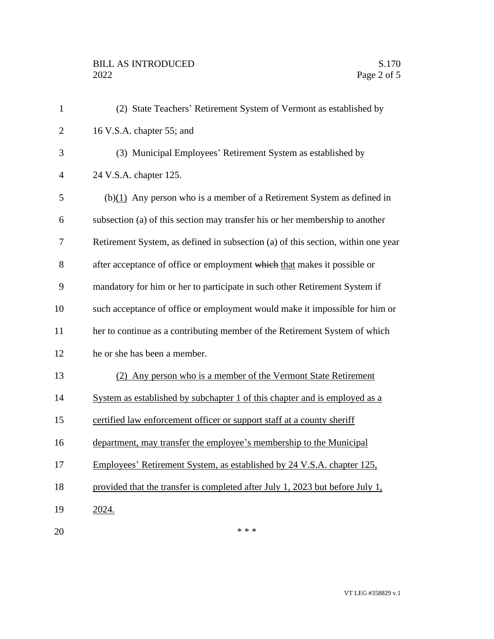| $\mathbf{1}$   | (2) State Teachers' Retirement System of Vermont as established by               |
|----------------|----------------------------------------------------------------------------------|
| $\overline{2}$ | 16 V.S.A. chapter 55; and                                                        |
| 3              | (3) Municipal Employees' Retirement System as established by                     |
| $\overline{4}$ | 24 V.S.A. chapter 125.                                                           |
| 5              | $(b)(1)$ Any person who is a member of a Retirement System as defined in         |
| 6              | subsection (a) of this section may transfer his or her membership to another     |
| $\tau$         | Retirement System, as defined in subsection (a) of this section, within one year |
| 8              | after acceptance of office or employment which that makes it possible or         |
| 9              | mandatory for him or her to participate in such other Retirement System if       |
| 10             | such acceptance of office or employment would make it impossible for him or      |
| 11             | her to continue as a contributing member of the Retirement System of which       |
| 12             | he or she has been a member.                                                     |
| 13             | Any person who is a member of the Vermont State Retirement<br>(2)                |
| 14             | System as established by subchapter 1 of this chapter and is employed as a       |
| 15             | certified law enforcement officer or support staff at a county sheriff           |
| 16             | department, may transfer the employee's membership to the Municipal              |
| 17             | Employees' Retirement System, as established by 24 V.S.A. chapter 125,           |
| 18             | provided that the transfer is completed after July 1, 2023 but before July 1,    |
| 19             | 2024.                                                                            |
| 20             | * * *                                                                            |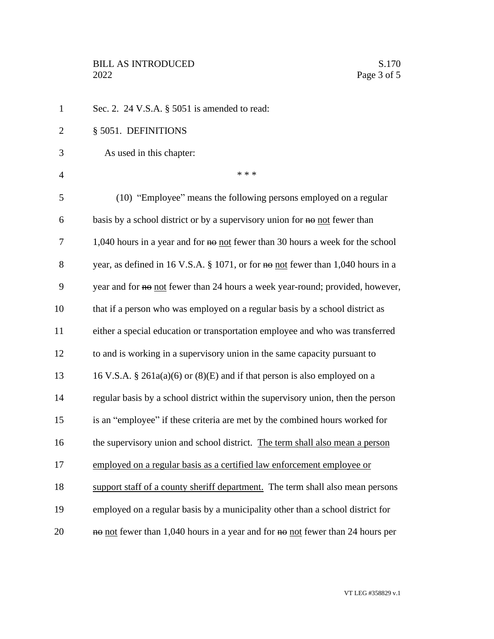| $\mathbf{1}$   | Sec. 2. 24 V.S.A. $\S$ 5051 is amended to read:                                  |
|----------------|----------------------------------------------------------------------------------|
| $\overline{2}$ | § 5051. DEFINITIONS                                                              |
| 3              | As used in this chapter:                                                         |
| $\overline{4}$ | * * *                                                                            |
| 5              | (10) "Employee" means the following persons employed on a regular                |
| 6              | basis by a school district or by a supervisory union for no not fewer than       |
| 7              | 1,040 hours in a year and for no not fewer than 30 hours a week for the school   |
| 8              | year, as defined in 16 V.S.A. § 1071, or for no not fewer than 1,040 hours in a  |
| 9              | year and for no not fewer than 24 hours a week year-round; provided, however,    |
| 10             | that if a person who was employed on a regular basis by a school district as     |
| 11             | either a special education or transportation employee and who was transferred    |
| 12             | to and is working in a supervisory union in the same capacity pursuant to        |
| 13             | 16 V.S.A. § 261a(a)(6) or (8)(E) and if that person is also employed on a        |
| 14             | regular basis by a school district within the supervisory union, then the person |
| 15             | is an "employee" if these criteria are met by the combined hours worked for      |
| 16             | the supervisory union and school district. The term shall also mean a person     |
| 17             | employed on a regular basis as a certified law enforcement employee or           |
| 18             | support staff of a county sheriff department. The term shall also mean persons   |
| 19             | employed on a regular basis by a municipality other than a school district for   |
| 20             | no not fewer than 1,040 hours in a year and for no not fewer than 24 hours per   |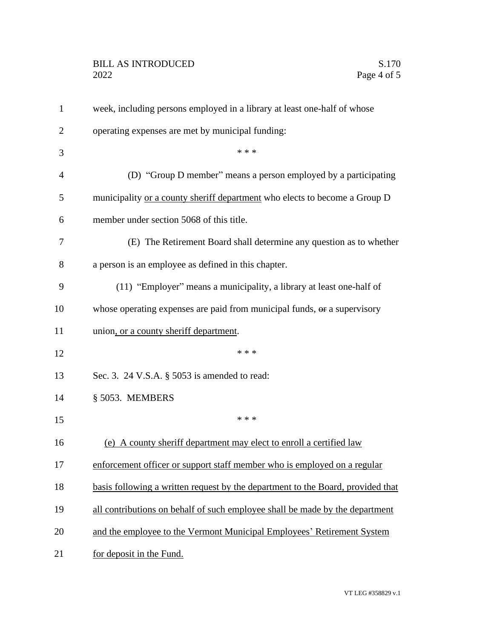| $\mathbf{1}$   | week, including persons employed in a library at least one-half of whose        |
|----------------|---------------------------------------------------------------------------------|
| $\overline{2}$ | operating expenses are met by municipal funding:                                |
| 3              | * * *                                                                           |
| $\overline{4}$ | (D) "Group D member" means a person employed by a participating                 |
| 5              | municipality or a county sheriff department who elects to become a Group D      |
| 6              | member under section 5068 of this title.                                        |
| 7              | (E) The Retirement Board shall determine any question as to whether             |
| 8              | a person is an employee as defined in this chapter.                             |
| 9              | (11) "Employer" means a municipality, a library at least one-half of            |
| 10             | whose operating expenses are paid from municipal funds, or a supervisory        |
| 11             | union, or a county sheriff department.                                          |
| 12             | * * *                                                                           |
| 13             | Sec. 3. 24 V.S.A. § 5053 is amended to read:                                    |
| 14             | § 5053. MEMBERS                                                                 |
| 15             | * * *                                                                           |
| 16             | (e) A county sheriff department may elect to enroll a certified law             |
| 17             | enforcement officer or support staff member who is employed on a regular        |
| 18             | basis following a written request by the department to the Board, provided that |
| 19             | all contributions on behalf of such employee shall be made by the department    |
| 20             | and the employee to the Vermont Municipal Employees' Retirement System          |
| 21             | for deposit in the Fund.                                                        |